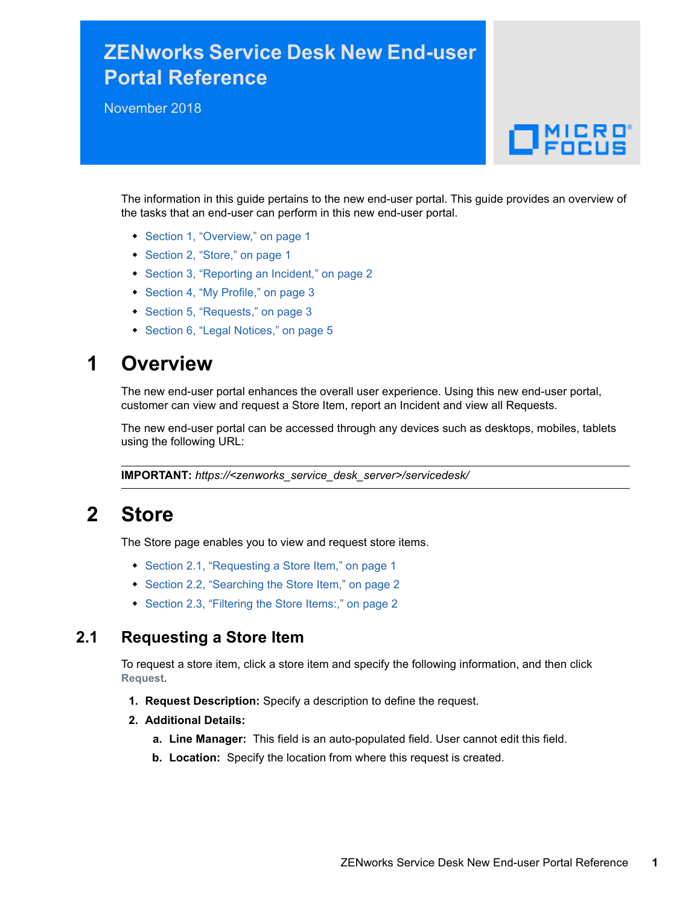# **ZENworks Service Desk New End-user Portal Reference**

November 2018

# $\Box$ MICRO

The information in this guide pertains to the new end-user portal. This guide provides an overview of the tasks that an end-user can perform in this new end-user portal.

- [Section 1, "Overview," on page 1](#page-0-0)
- [Section 2, "Store," on page 1](#page-0-1)
- [Section 3, "Reporting an Incident," on page 2](#page-1-0)
- [Section 4, "My Profile," on page 3](#page-2-0)
- [Section 5, "Requests," on page 3](#page-2-1)
- [Section 6, "Legal Notices," on page 5](#page-4-0)

# <span id="page-0-0"></span>**1 Overview**

The new end-user portal enhances the overall user experience. Using this new end-user portal, customer can view and request a Store Item, report an Incident and view all Requests.

The new end-user portal can be accessed through any devices such as desktops, mobiles, tablets using the following URL:

**IMPORTANT:** *https://<zenworks\_service\_desk\_server>/servicedesk/*

# <span id="page-0-1"></span>**2 Store**

The Store page enables you to view and request store items.

- [Section 2.1, "Requesting a Store Item," on page 1](#page-0-2)
- [Section 2.2, "Searching the Store Item," on page 2](#page-1-2)
- [Section 2.3, "Filtering the Store Items:," on page 2](#page-1-1)

## <span id="page-0-2"></span>**2.1 Requesting a Store Item**

To request a store item, click a store item and specify the following information, and then click **Request**.

- **1. Request Description:** Specify a description to define the request.
- **2. Additional Details:** 
	- **a. Line Manager:** This field is an auto-populated field. User cannot edit this field.
	- **b. Location:** Specify the location from where this request is created.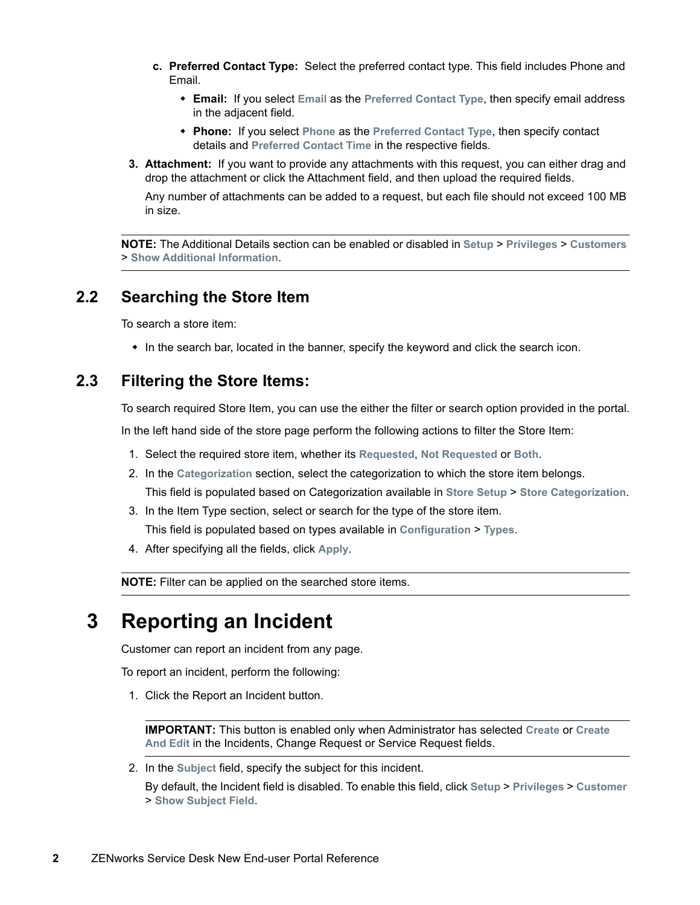- **c. Preferred Contact Type:** Select the preferred contact type. This field includes Phone and Email.
	- **Email:** If you select **Email** as the **Preferred Contact Type**, then specify email address in the adjacent field.
	- **Phone:** If you select **Phone** as the **Preferred Contact Type**, then specify contact details and **Preferred Contact Time** in the respective fields.
- **3. Attachment:** If you want to provide any attachments with this request, you can either drag and drop the attachment or click the Attachment field, and then upload the required fields.

Any number of attachments can be added to a request, but each file should not exceed 100 MB in size.

**NOTE:** The Additional Details section can be enabled or disabled in **Setup** > **Privileges** > **Customers** > **Show Additional Information**.

## <span id="page-1-2"></span>**2.2 Searching the Store Item**

To search a store item:

• In the search bar, located in the banner, specify the keyword and click the search icon.

## <span id="page-1-1"></span>**2.3 Filtering the Store Items:**

To search required Store Item, you can use the either the filter or search option provided in the portal.

In the left hand side of the store page perform the following actions to filter the Store Item:

- 1. Select the required store item, whether its **Requested**, **Not Requested** or **Both**.
- 2. In the **Categorization** section, select the categorization to which the store item belongs. This field is populated based on Categorization available in **Store Setup** > **Store Categorization**.
- 3. In the Item Type section, select or search for the type of the store item. This field is populated based on types available in **Configuration** > **Types**.
- 4. After specifying all the fields, click **Apply**.

**NOTE:** Filter can be applied on the searched store items.

# <span id="page-1-0"></span>**3 Reporting an Incident**

Customer can report an incident from any page.

To report an incident, perform the following:

1. Click the Report an Incident button.

**IMPORTANT:** This button is enabled only when Administrator has selected **Create** or **Create And Edit** in the Incidents, Change Request or Service Request fields.

2. In the **Subject** field, specify the subject for this incident.

By default, the Incident field is disabled. To enable this field, click **Setup** > **Privileges** > **Customer** > **Show Subject Field**.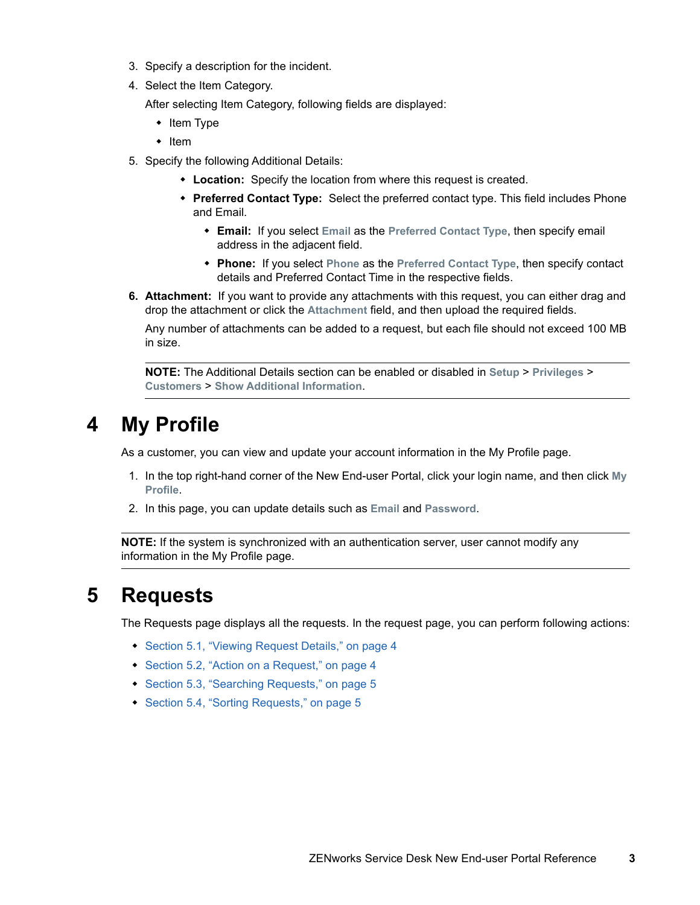- 3. Specify a description for the incident.
- 4. Select the Item Category.

After selecting Item Category, following fields are displayed:

- $\cdot$  Item Type
- $\cdot$  Item
- 5. Specify the following Additional Details:
	- **Location:** Specify the location from where this request is created.
	- **Preferred Contact Type:** Select the preferred contact type. This field includes Phone and Email.
		- **Email:** If you select **Email** as the **Preferred Contact Type**, then specify email address in the adjacent field.
		- **Phone:** If you select **Phone** as the **Preferred Contact Type**, then specify contact details and Preferred Contact Time in the respective fields.
- **6. Attachment:** If you want to provide any attachments with this request, you can either drag and drop the attachment or click the **Attachment** field, and then upload the required fields.

Any number of attachments can be added to a request, but each file should not exceed 100 MB in size.

**NOTE:** The Additional Details section can be enabled or disabled in **Setup** > **Privileges** > **Customers** > **Show Additional Information**.

## <span id="page-2-0"></span>**4 My Profile**

As a customer, you can view and update your account information in the My Profile page.

- 1. In the top right-hand corner of the New End-user Portal, click your login name, and then click **My Profile**.
- 2. In this page, you can update details such as **Email** and **Password**.

**NOTE:** If the system is synchronized with an authentication server, user cannot modify any information in the My Profile page.

## <span id="page-2-1"></span>**5 Requests**

The Requests page displays all the requests. In the request page, you can perform following actions:

- [Section 5.1, "Viewing Request Details," on page 4](#page-3-0)
- [Section 5.2, "Action on a Request," on page 4](#page-3-1)
- [Section 5.3, "Searching Requests," on page 5](#page-4-2)
- [Section 5.4, "Sorting Requests," on page 5](#page-4-1)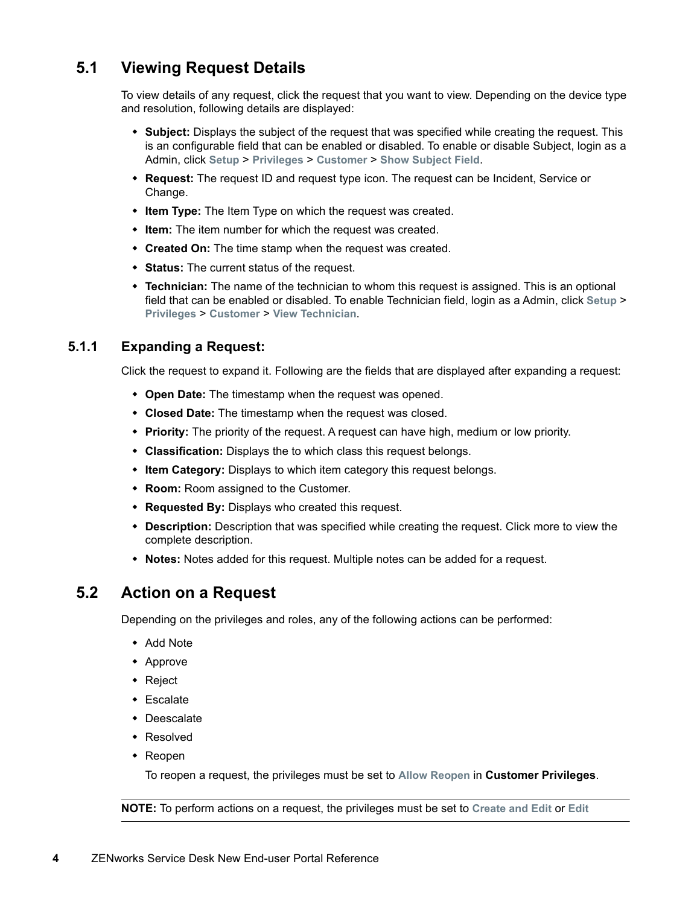## <span id="page-3-0"></span>**5.1 Viewing Request Details**

To view details of any request, click the request that you want to view. Depending on the device type and resolution, following details are displayed:

- **Subject:** Displays the subject of the request that was specified while creating the request. This is an configurable field that can be enabled or disabled. To enable or disable Subject, login as a Admin, click **Setup** > **Privileges** > **Customer** > **Show Subject Field**.
- **Request:** The request ID and request type icon. The request can be Incident, Service or Change.
- **Item Type:** The Item Type on which the request was created.
- **Item:** The item number for which the request was created.
- **Created On:** The time stamp when the request was created.
- **Status:** The current status of the request.
- **Technician:** The name of the technician to whom this request is assigned. This is an optional field that can be enabled or disabled. To enable Technician field, login as a Admin, click **Setup** > **Privileges** > **Customer** > **View Technician**.

#### **5.1.1 Expanding a Request:**

Click the request to expand it. Following are the fields that are displayed after expanding a request:

- **Open Date:** The timestamp when the request was opened.
- **Closed Date:** The timestamp when the request was closed.
- **Priority:** The priority of the request. A request can have high, medium or low priority.
- **Classification:** Displays the to which class this request belongs.
- **Item Category:** Displays to which item category this request belongs.
- **Room:** Room assigned to the Customer.
- **Requested By:** Displays who created this request.
- **Description:** Description that was specified while creating the request. Click more to view the complete description.
- **Notes:** Notes added for this request. Multiple notes can be added for a request.

## <span id="page-3-1"></span>**5.2 Action on a Request**

Depending on the privileges and roles, any of the following actions can be performed:

- ◆ Add Note
- Approve
- Reject
- Escalate
- Deescalate
- Resolved
- Reopen

To reopen a request, the privileges must be set to **Allow Reopen** in **Customer Privileges**.

**NOTE:** To perform actions on a request, the privileges must be set to **Create and Edit** or **Edit**